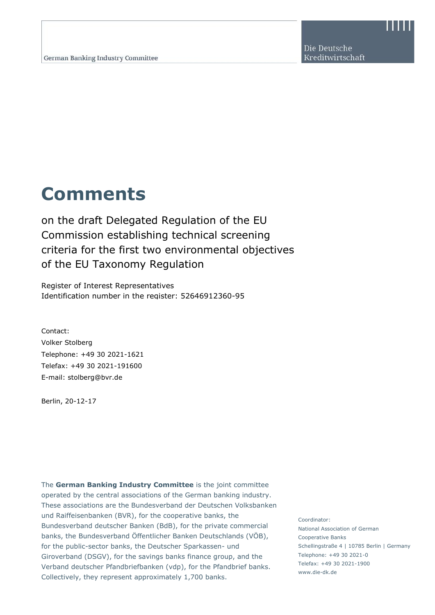Die Deutsche Kreditwirtschaft

## **Comments**

on the draft Delegated Regulation of the EU Commission establishing technical screening criteria for the first two environmental objectives of the EU Taxonomy Regulation

Register of Interest Representatives Identification number in the register: 52646912360-95

Contact: Volker Stolberg Telephone: +49 30 2021-1621 Telefax: +49 30 2021-191600 E-mail: stolberg@bvr.de

Berlin, 20-12-17

www.die-dk.de Fliesch to the Fliesch Collectively, they represent approximately 1,700 banks. The **German Banking Industry Committee** is the joint committee operated by the central associations of the German banking industry. These associations are the Bundesverband der Deutschen Volksbanken und Raiffeisenbanken (BVR), for the cooperative banks, the Bundesverband deutscher Banken (BdB), for the private commercial banks, the Bundesverband Öffentlicher Banken Deutschlands (VÖB), for the public-sector banks, the Deutscher Sparkassen- und Giroverband (DSGV), for the savings banks finance group, and the Verband deutscher Pfandbriefbanken (vdp), for the Pfandbrief banks.

Coordinator: National Association of German Cooperative Banks Schellingstraße 4 | 10785 Berlin | Germany Telephone: +49 30 2021-0 Telefax: +49 30 2021-1900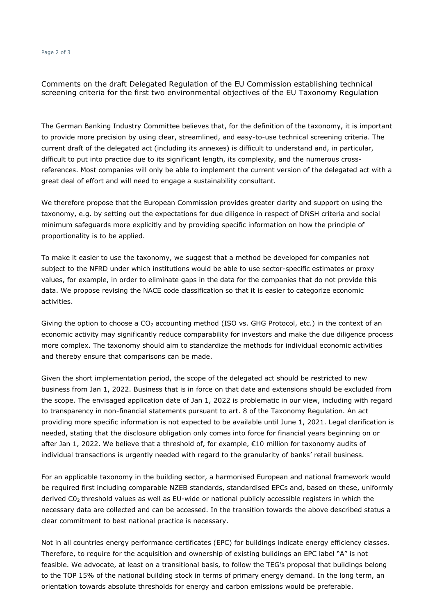## Page 2 of 3

Comments on the draft Delegated Regulation of the EU Commission establishing technical screening criteria for the first two environmental objectives of the EU Taxonomy Regulation

The German Banking Industry Committee believes that, for the definition of the taxonomy, it is important to provide more precision by using clear, streamlined, and easy-to-use technical screening criteria. The current draft of the delegated act (including its annexes) is difficult to understand and, in particular, difficult to put into practice due to its significant length, its complexity, and the numerous crossreferences. Most companies will only be able to implement the current version of the delegated act with a great deal of effort and will need to engage a sustainability consultant.

We therefore propose that the European Commission provides greater clarity and support on using the taxonomy, e.g. by setting out the expectations for due diligence in respect of DNSH criteria and social minimum safeguards more explicitly and by providing specific information on how the principle of proportionality is to be applied.

To make it easier to use the taxonomy, we suggest that a method be developed for companies not subject to the NFRD under which institutions would be able to use sector-specific estimates or proxy values, for example, in order to eliminate gaps in the data for the companies that do not provide this data. We propose revising the NACE code classification so that it is easier to categorize economic activities.

Giving the option to choose a  $CO<sub>2</sub>$  accounting method (ISO vs. GHG Protocol, etc.) in the context of an economic activity may significantly reduce comparability for investors and make the due diligence process more complex. The taxonomy should aim to standardize the methods for individual economic activities and thereby ensure that comparisons can be made.

Given the short implementation period, the scope of the delegated act should be restricted to new business from Jan 1, 2022. Business that is in force on that date and extensions should be excluded from the scope. The envisaged application date of Jan 1, 2022 is problematic in our view, including with regard to transparency in non-financial statements pursuant to art. 8 of the Taxonomy Regulation. An act providing more specific information is not expected to be available until June 1, 2021. Legal clarification is needed, stating that the disclosure obligation only comes into force for financial years beginning on or after Jan 1, 2022. We believe that a threshold of, for example,  $\epsilon$ 10 million for taxonomy audits of individual transactions is urgently needed with regard to the granularity of banks' retail business.

For an applicable taxonomy in the building sector, a harmonised European and national framework would be required first including comparable NZEB standards, standardised EPCs and, based on these, uniformly derived C02 threshold values as well as EU-wide or national publicly accessible registers in which the necessary data are collected and can be accessed. In the transition towards the above described status a clear commitment to best national practice is necessary.

Not in all countries energy performance certificates (EPC) for buildings indicate energy efficiency classes. Therefore, to require for the acquisition and ownership of existing bulidings an EPC label "A" is not feasible. We advocate, at least on a transitional basis, to follow the TEG's proposal that buildings belong to the TOP 15% of the national building stock in terms of primary energy demand. In the long term, an orientation towards absolute thresholds for energy and carbon emissions would be preferable.